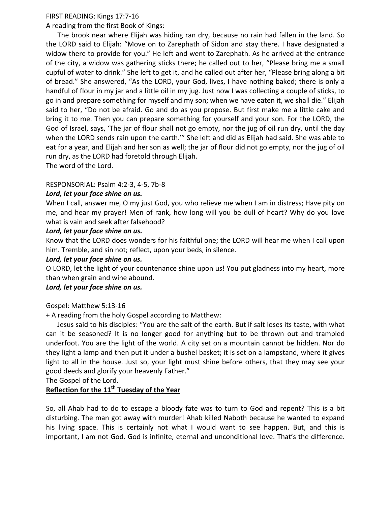# FIRST READING: Kings 17:7‐16

A reading from the first Book of Kings:

 The brook near where Elijah was hiding ran dry, because no rain had fallen in the land. So the LORD said to Elijah: "Move on to Zarephath of Sidon and stay there. I have designated a widow there to provide for you." He left and went to Zarephath. As he arrived at the entrance of the city, a widow was gathering sticks there; he called out to her, "Please bring me a small cupful of water to drink." She left to get it, and he called out after her, "Please bring along a bit of bread." She answered, "As the LORD, your God, lives, I have nothing baked; there is only a handful of flour in my jar and a little oil in my jug. Just now I was collecting a couple of sticks, to go in and prepare something for myself and my son; when we have eaten it, we shall die." Elijah said to her, "Do not be afraid. Go and do as you propose. But first make me a little cake and bring it to me. Then you can prepare something for yourself and your son. For the LORD, the God of Israel, says, 'The jar of flour shall not go empty, nor the jug of oil run dry, until the day when the LORD sends rain upon the earth.'" She left and did as Elijah had said. She was able to eat for a year, and Elijah and her son as well; the jar of flour did not go empty, nor the jug of oil run dry, as the LORD had foretold through Elijah.

The word of the Lord.

# RESPONSORIAL: Psalm 4:2‐3, 4‐5, 7b‐8

# *Lord, let your face shine on us.*

When I call, answer me, O my just God, you who relieve me when I am in distress; Have pity on me, and hear my prayer! Men of rank, how long will you be dull of heart? Why do you love what is vain and seek after falsehood?

# *Lord, let your face shine on us.*

Know that the LORD does wonders for his faithful one; the LORD will hear me when I call upon him. Tremble, and sin not; reflect, upon your beds, in silence.

# *Lord, let your face shine on us.*

O LORD, let the light of your countenance shine upon us! You put gladness into my heart, more than when grain and wine abound.

# *Lord, let your face shine on us.*

Gospel: Matthew 5:13‐16

+ A reading from the holy Gospel according to Matthew:

 Jesus said to his disciples: "You are the salt of the earth. But if salt loses its taste, with what can it be seasoned? It is no longer good for anything but to be thrown out and trampled underfoot. You are the light of the world. A city set on a mountain cannot be hidden. Nor do they light a lamp and then put it under a bushel basket; it is set on a lampstand, where it gives light to all in the house. Just so, your light must shine before others, that they may see your good deeds and glorify your heavenly Father."

The Gospel of the Lord.

# **Reflection for the 11<sup>th</sup> Tuesday of the Year**

So, all Ahab had to do to escape a bloody fate was to turn to God and repent? This is a bit disturbing. The man got away with murder! Ahab killed Naboth because he wanted to expand his living space. This is certainly not what I would want to see happen. But, and this is important, I am not God. God is infinite, eternal and unconditional love. That's the difference.